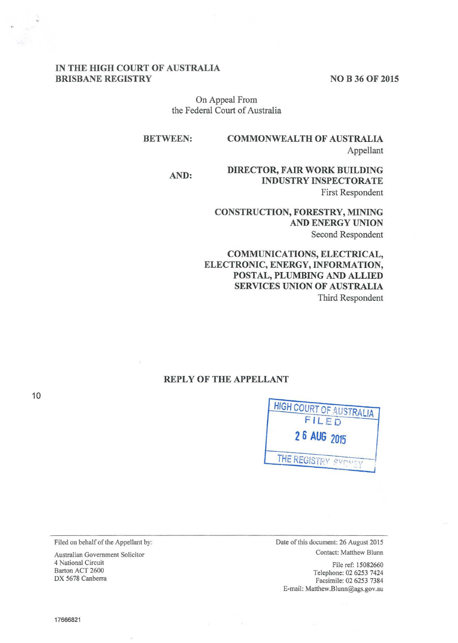#### **IN THE HIGH COURT OF AUSTRALIA BRISBANE REGISTRY** NO B 36 OF 2015

On Appeal From the Federal Court of Australia

**BETWEEN: COMMONWEALTH OF AUSTRALIA**  Appellant

**AND: DIRECTOR, FAIR WORK BUILDING INDUSTRY INSPECTORATE**  First Respondent

> **CONSTRUCTION, FORESTRY, MINING AND ENERGY UNION**  Second Respondent

**COMMUNICATIONS, ELECTRICAL, ELECTRONIC, ENERGY, INFORMATION, POSTAL, PLUMBING AND ALLIED SERVICES UNION OF AUSTRALIA**  Third Respondent

# **REPLY OF THE APPELLANT**



Filed on behalf of the Appellant by:

Australian Government Solicitor 4 National Circuit Barton ACT 2600 DX 5678 Canberra

Date of this document: 26 August 2015 Contact: Matthew Blunn

File ref: 15082660 Telephone: 02 6253 7424 Facsimile: 02 6253 7384 E-mail: Matthew.Blunn@ags.gov.au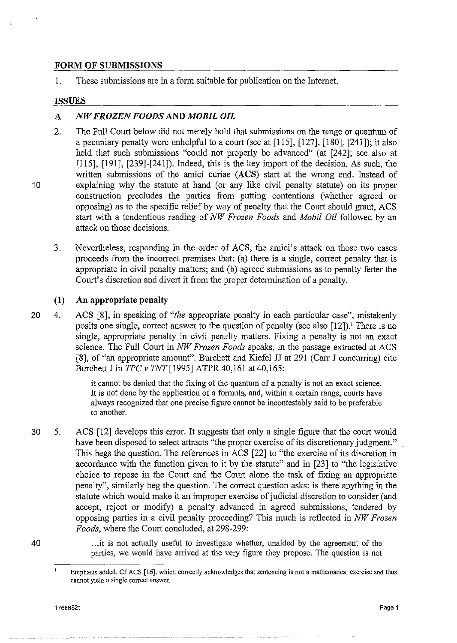## **FORM OF SUBMISSIONS**

1. These submissions are in a form suitable for publication on the Internet.

## **ISSUES**

10

# **A** *NW FROZEN FOODS* **AND** *MOBIL OIL*

- 2. The Full Court below did not merely hold that submissions on the range or quantum of a pecuniary penalty were unhelpful to a court (see at [115], [127], [180], [241]); it also held that such submissions "could not properly be advanced" (at [242]; see also at [115], [191], [239]-[241]). Indeed, this is the key import of the decision. As such, the written submissions of the amici curiae **(ACS)** start at the wrong end. Instead of explaining why the statute at hand (or any like civil penalty statute) on its proper construction precludes the parties from putting contentions (whether agreed or opposing) as to the specific relief by way of penalty that the Court should grant, ACS start with a tendentious reading of *NW Frozen Foods* and *Mobil Oil* followed by an attack on those decisions.
- 3. Nevertheless, responding in the order of ACS, the amici's attack on those two cases proceeds from the incorrect premises that: (a) there is a single, correct penalty that is appropriate in civil penalty matters; and (b) agreed submissions as to penalty fetter the Court's discretion and divert it from the proper determination of a penalty.

# **(1) An appropriate penalty**

20 4. ACS [8], in speaking of *"the* appropriate penalty in each particular case", mistakenly posits one single, correct answer to the question of penalty (see also [12]).' There is no single, appropriate penalty in civil penalty matters. Fixing a penalty is not an exact science. The Full Court in *NW Frozen Foods* speaks, in the passage extracted at ACS [8], of "an appropriate amount". Burchett and Kiefel JJ at 291 (Carr J concurring) cite Burchett J in *TPC v TNT* [1995] ATPR 40,161 at 40,165:

> it cannot be denied that the fixing of the quantum of a penalty is not an exact science. It is not done by the application of a fonnula, and, within a certain range, courts have always recognized that one precise figure cannot be incontestably said to be preferable to another.

30 5. ACS [12] develops this error. It suggests that only a single figure that the court would have been disposed to select attracts "the proper exercise of its discretionary judgment." This begs the question. The references in ACS [22] to "the exercise of its discretion in accordance with the function given to it by the statute" and in [23] to "the legislative choice to repose in the Court and the Court alone the task of fixing an appropriate penalty", similarly beg the question. The correct question asks: is there anything in the statute which would make it an improper exercise of judicial discretion to consider (and accept, reject or modify) a penalty advanced in agreed submissions, tendered by opposing parties in a civil penalty proceeding? This much is reflected in *NW Frozen Foods*, where the Court concluded, at 298-299:

40

... it is not actually useful to investigate whether, unaided by the agreement of the parties, we would have arrived at the very figure they propose. The question is not

 $\mathbf{I}$ 

**Emphasis added. Cf ACS [16], which correctly acknowledges that sentencing is not a mathematical exercise and thus cannot yield a single correct answer.**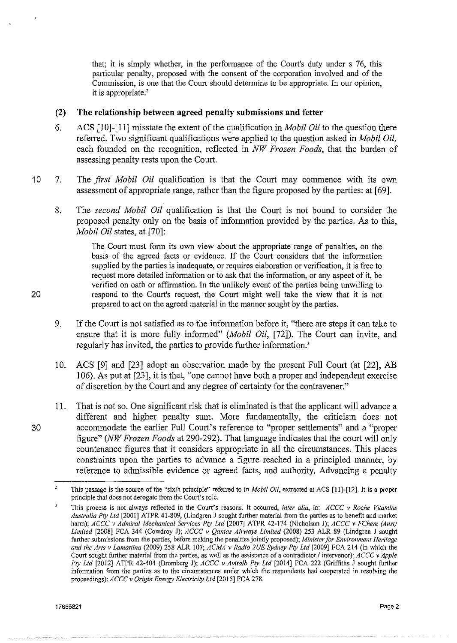that; it is simply whether, in the performance of the Court's duty under s 76, this particular penalty, proposed with the consent of the corporation involved and of the Commission, is one that the Court should determine to be appropriate. In our opinion, it is appropriate.'

## **(2) The relationship between agreed penalty submissions and fetter**

- 6. ACS [10]-[11] misstate the extent of the qualification in *Mobil Oil* to the question there referred. Two significant qualifications were applied to the question asked in *Mobil Oil,*  each founded on the recognition, reflected in *NW Frozen Foods,* that the burden of assessing penalty rests upon the Court.
- 10 7. The *first Mobil Oil* qualification is that the Court may commence with its own assessment of appropriate range, rather than the figure proposed by the parties: at [69].
	- 8. The *second Mobil Oil* qualification is that the Court is not bound to consider the proposed penalty only on the basis of information provided by the parties. As to this, *Mobil Oil* states, at [70]:

The Court must form its own view about the appropriate range of penalties, on the basis of the agreed facts or evidence. If the Court considers that the infonnation supplied by the parties is inadequate, or requires elaboration or verification, it is free to request more detailed information or to ask that the information, or any aspect of it, be verified on oath or affirmation. In the unlikely event of the parties being unwilling to 20 respond to the Comt's request, the Court might well take the view that it is not prepared to act on the agreed material in the manner sought by the parties.

- 9. If the Court is not satisfied as to the information before it, "there are steps it can take to ensure that it is more fully informed" *(Mobil Oil, [72]*). The Court can invite, and regularly has invited, the parties to provide further information.'
- 10. ACS [9] and [23] adopt an observation made by the present Full Court (at [22], AB I 06). As put at [23], it is that, "one cannot have both a proper and independent exercise of discretion by the Court and any degree of certainty for the contravener."
- II. That is not so. One significant risk that is eliminated is that the applicant will advance a different and higher penalty sum. More fundamentally, the criticism does not 30 accommodate the earlier Full Court's reference to "proper settlements" and a "proper figure" *(NW Frozen Foods* at 290-292). That language indicates that the court will only countenance figures that it considers appropriate in all the circumstances. This places constraints upon the parties to advance a figure reached in a principled manner, by reference to admissible evidence or agreed facts, and authority. Advancing a penalty

 $\overline{2}$ This passage is the source of the "sixth principle" referred to in *Mobil* Oil, extracted at ACS [II]-[12]. It is a proper **principle that does not derogate from the Court's role.** 

 $\overline{\mathbf{3}}$ **This process is not always reflected in the Court's reasons. It occurred,** *inter alia,* **in:** *ACCC v Roche Vitamins Australia Pty Ltd* [2001] ATPR 41-809, (Lindgren J sought further material from the parties as to benefit and market harm); *ACCC v Admiral Mechanical Services Pty Ltd* [2007] ATPR 42-174 (Nicholson J); *ACCC v FChem (Aust) Limited* [2008] FCA 344 (Cowdroy J); *ACCC v Qantas Ainvays Limited* (2008) 253 ALR 89 (Lindgren J sought **further submissions from the parties, before making the penalties jointly proposed);** *Minister for Environment Heritage and the Arts v Lamattina* (2009) 258 ALR 107; *ACMA v Radio 2UE Sydney Pty Ltd* [2009] FCA 214 (in which the **Court sought further material from the parties, as well as the assistance of a contradictor** *I* **intervenor);** *ACCC v Apple Pty Ltd* [2012] ATPR 42-404 (Bromberg J); *ACCC v Avitalb Pty Ltd* [2014] FCA 222 (Griffiths J sought further **information from the parties as to the circumstances under which the respondents had cooperated in resolving the**  proceedings); *ACCCv Origin Energy Electricity Ltd* [2015] FCA 278.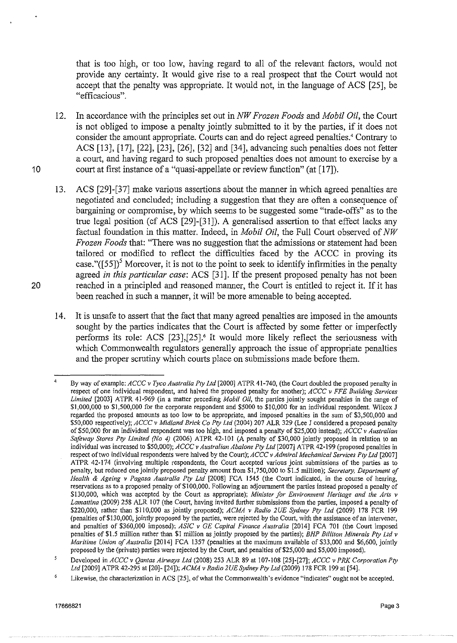that is too high, or too low, having regard to all of the relevant factors, would not provide any certainty. It would give rise to a real prospect that the Court would not accept that the penalty was appropriate. It would not, in the language of ACS [25], be "efficacious".

- 12. In accordance with the principles set out in *NW Frozen Foods* and *Mobil Oil,* the Court is not obliged to impose a penalty jointly submitted to it by the parties, if it does not consider the amount appropriate. Courts can and do reject agreed penalties.' Contrary to ACS [13], [17], [22], [23], [26], [32] and [34], advancing such penalties does not fetter a court, and having regard to such proposed penalties does not amount to exercise by a 10 court at first instance of a "quasi-appellate or review function" (at [17]).
- 13. ACS [29]-[37] make various assertions about the manner in which agreed penalties are negotiated and concluded; including a suggestion that they are often a consequence of bargaining or compromise, by which seems to be suggested some "trade-offs" as to the true legal position (cf ACS [29]-[31]). A generalised assertion to that effect lacks any factual foundation in this matter. Indeed, in *Mobil Oil,* the Full Court observed of *NW Frozen Foods* that: "There was no suggestion that the admissions or statement had been tailored or modified to reflect the difficulties faced by the ACCC in proving its case." $([55])^5$  Moreover, it is not to the point to seek to identify infirmities in the penalty agreed *in this particular case:* ACS [31]. If the present proposed penalty has not been 20 reached in a principled and reasoned marmer, the Court is entitled to reject it. If it has been reached in such a marmer, it will be more amenable to being accepted.
	- 14. It is unsafe to assert that the fact that many agreed penalties are imposed in the amounts sought by the parties indicates that the Court is affected by some fetter or imperfectly performs its role: ACS  $[23]$ , $[25]$ .<sup>6</sup> It would more likely reflect the seriousness with which Commonwealth regulators generally approach the issue of appropriate penalties and the proper scrutiny which courts place on submissions made before them.

<sup>4</sup>  By way of example: *ACCC v Tyco Australia Pty Ltd* (2000] ATPR 41-740, (the Court doubled the proposed penalty in **respect of one individual respondent, and halved the proposed penalty for another);** *ACCC v FFE Building Services Limited* [2003] ATPR 41-969 (in a matter preceding *Mobil Oil,* the parties jointly sought penalties in the range of \$1,000,000 to \$1,500,000 for the corporate respondent and \$5000 to \$10,000 for an individual respondent. Wilcox J **regarded the proposed amounts as too low to be appropriate, and imposed penalties in the sum of \$3,500,000 and**  \$50,000 respectively); *ACCC v Midland Brick Co Pty Ltd* (2004) 207 ALR 329 (Lee J considered a proposed penalty of \$50,000 for an individual respondent was too high, and imposed a penalty of \$25,000 instead); *ACCC v Australian Safeway Stores Pty Limited (No 4)* (2006) ATPR 42-101 (A penalty of \$30,000 jointly proposed in relation to an individual was increased to \$50,000); *ACCC v Australian Abalone Pty Ltd* (2007] ATPR 42-199 (proposed penalties in respect oftwo individual respondents were halved by the Court); *ACCC v Admiral Mechanical Services Pty Ltd* (2007] **ATPR 42-174 (involving multiple respondents, the Court accepted various joint submissions of the parties as to**  penalty, but reduced one jointly proposed penalty amount from \$1,750,000 to \$1.5 million); *Secretary, Department of Health* & *Ageing v Pagosa Australia Pty Ltd* (2008] FCA 1545 (the Court indicated, in the course of hearing, reservations as to a proposed penalty of \$100,000. Following an adjournment the parties instead proposed a penalty of **\$130,000, which was accepted by the Court as appropriate);** *Minister for Environment Heritage and the Arts v*  Lamattina (2009) 258 ALR 107 (the Court, having invited further submissions from the parties, imposed a penalty of \$220,000, rather than \$110,000 as jointly proposed); *ACMA v Radio 2UE Sydney Pty Ltd* (2009) 178 FCR 199 **{penalties of \$130,000, jointly proposed by the parties, were rejected by the Court, with the assistance of an intervener,**  and penalties of \$360,000 imposed); *ASIC v GE Capital Finance Australia* [2014] FCA 701 (the Court imposed penalties of \$1.5 million rather than \$1 million as jointly proposed by the parties); *BHP Bil/iton Minerals Pty Ltd v Maritime Union of Australia* [2014] FCA 1357 (penalties at the maximum available of \$33,000 and \$6,600, jointly proposed by the (private) parties were rejected by the Court, and penalties of \$25,000 and \$5,000 imposed).

<sup>5</sup> Developed in *ACCC v Qantas Airways Ltd* (2008) 253 ALR 89 at 107-108 (25]-[27]; *ACCC v PRK Corporation Pty Ltd* [2009] ATPR 42-295 at [20]- [24]); *ACMA* v *Radio 2UE Sydney Pty Ltd* (2009) 178 FCR 199 at (54].

**Likewise, the characterization in ACS [25], of what the Commonwealth's evidence "indicates" ought not be accepted.**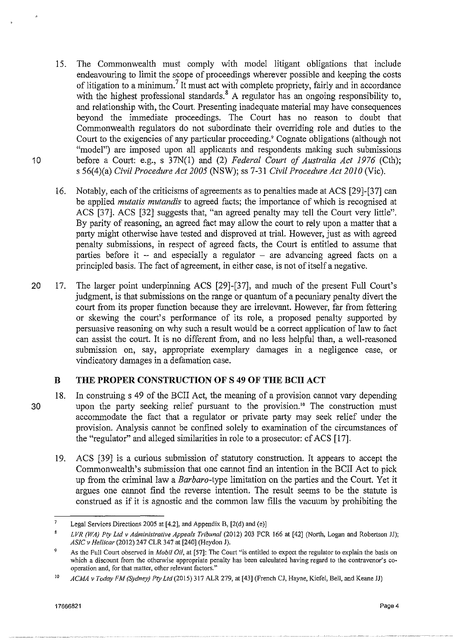- 15. The Commonwealth must comply with model litigant obligations that include endeavouring to limit the scope of proceedings wherever possible and keeping the costs of litigation to a minimum.<sup>7</sup> It must act with complete propriety, fairly and in accordance with the highest professional standards.<sup>8</sup> A regulator has an ongoing responsibility to, and relationship with, the Court. Presenting inadequate material may have consequences beyond the immediate proceedings. The Court has no reason to doubt that Commonwealth regulators do not subordinate their overriding role and duties to the Court to the exigencies of any particular proceeding.' Cognate obligations (although not "model") are imposed upon all applicants and respondents making such submissions 10 before a Court: e.g., s 37N(1) and (2) *Federal Court of Australia Act 1976* (Cth); s 56(4)(a) *Civil Procedure Act 2005* (NSW); ss 7-31 *Civil Procedure Act 2010* ('lie).
	- 16. Notably, each of the criticisms of agreements as to penalties made at ACS [29]-[37) can be applied *mutatis mutandis* to agreed facts; the importance of which is recognised at ACS [37]. ACS [32) suggests that, "an agreed penalty may tell the Court very little". By parity of reasoning, an agreed fact may allow the court to rely upon a matter that a party might otherwise have tested and disproved at trial. However, just as with agreed penalty submissions, in respect of agreed facts, the Court is entitled to assume that parties before it  $-$  and especially a regulator  $-$  are advancing agreed facts on a principled basis. The fact of agreement, in either case, is not of itself a negative.
- 20 17. The larger point underpinning ACS [29)-[37], and much of the present Full Court's judgment, is that submissions on the range or quantum of a pecuniary penalty divert the court from its proper function because they are irrelevant. However, far from fettering or skewing the court's performance of its role, a proposed penalty supported by persuasive reasoning on why such a result would be a correct application of law to fact can assist the court. It is no different from, and no less helpful than, a well-reasoned submission on, say, appropriate exemplary damages in a negligence case, or vindicatory damages in a defamation case.

# **B THE PROPER CONSTRUCTION OF S 49 OF THE BCII ACT**

- 
- 18. In construing s 49 of the BCII Act, the meaning of a provision cannot vary depending 30 upon the party seeking relief pursuant to the provision. 10 The construction must accommodate the fact that a regulator or private party may seek relief under the provision. Analysis cannot be confined solely to examination of the circumstances of the "regulator" and alleged similarities in role to a prosecutor: cf ACS [17).
	- 19. ACS [39) is a curious submission of statutory construction. It appears to accept the Commonwealth's submission that one cannot find an intention in the BCII Act to pick up from the criminal law a *Barbara-type* limitation on the parties and the Court. Yet it argues one cannot find the reverse intention. The result seems to be the statute is construed as if it is agnostic and the common law fills the vacuum by prohibiting the

<sup>7</sup>  Legal Services Directions 2005 at [4.2], and Appendix B, (2(d) and (e)]

*LVR (WA) Pty Ltd v Administrative Appeals Tribunal* (2012) 203 FCR 166 at [42] (North, Logan and Robertson JJ); *ASIC v Hel/icar* (2012) 247 CLR 347 at [240] (Heydon J).

<sup>9</sup>  **As the Full Court observed in** *Aiobil Oil,* **at [57]: The Court "is entitled to expect the regulator to explain the basis on which a discount from the otherwise appropriate penalty has been calculated having regard to the contravener's cooperation and, for that matter, other relevant factors."** 

<sup>10</sup>  *ACMA v Today FM (Sydney) Pty Ltd* (2015) 317 ALR 279, at [43] (French CJ, Hayne, Kiefel, Bell, and Keane JJ)